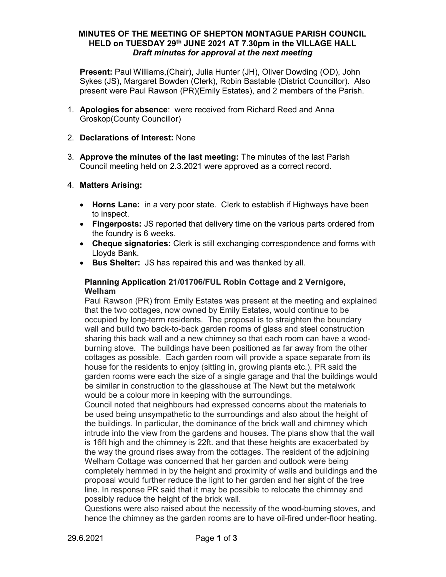## MINUTES OF THE MEETING OF SHEPTON MONTAGUE PARISH COUNCIL HELD on TUESDAY 29<sup>th</sup> JUNE 2021 AT 7.30pm in the VILLAGE HALL Draft minutes for approval at the next meeting

Present: Paul Williams,(Chair), Julia Hunter (JH), Oliver Dowding (OD), John Sykes (JS), Margaret Bowden (Clerk), Robin Bastable (District Councillor). Also present were Paul Rawson (PR)(Emily Estates), and 2 members of the Parish.

1. Apologies for absence: were received from Richard Reed and Anna Groskop(County Councillor)

## 2. Declarations of Interest: None

3. Approve the minutes of the last meeting: The minutes of the last Parish Council meeting held on 2.3.2021 were approved as a correct record.

## 4. Matters Arising:

- Horns Lane: in a very poor state. Clerk to establish if Highways have been to inspect.
- Fingerposts: JS reported that delivery time on the various parts ordered from the foundry is 6 weeks.
- Cheque signatories: Clerk is still exchanging correspondence and forms with Lloyds Bank.
- Bus Shelter: JS has repaired this and was thanked by all.

## Planning Application 21/01706/FUL Robin Cottage and 2 Vernigore, Welham

Paul Rawson (PR) from Emily Estates was present at the meeting and explained that the two cottages, now owned by Emily Estates, would continue to be occupied by long-term residents. The proposal is to straighten the boundary wall and build two back-to-back garden rooms of glass and steel construction sharing this back wall and a new chimney so that each room can have a woodburning stove. The buildings have been positioned as far away from the other cottages as possible. Each garden room will provide a space separate from its house for the residents to enjoy (sitting in, growing plants etc.). PR said the garden rooms were each the size of a single garage and that the buildings would be similar in construction to the glasshouse at The Newt but the metalwork would be a colour more in keeping with the surroundings.

Council noted that neighbours had expressed concerns about the materials to be used being unsympathetic to the surroundings and also about the height of the buildings. In particular, the dominance of the brick wall and chimney which intrude into the view from the gardens and houses. The plans show that the wall is 16ft high and the chimney is 22ft. and that these heights are exacerbated by the way the ground rises away from the cottages. The resident of the adjoining Welham Cottage was concerned that her garden and outlook were being completely hemmed in by the height and proximity of walls and buildings and the proposal would further reduce the light to her garden and her sight of the tree line. In response PR said that it may be possible to relocate the chimney and possibly reduce the height of the brick wall.

Questions were also raised about the necessity of the wood-burning stoves, and hence the chimney as the garden rooms are to have oil-fired under-floor heating.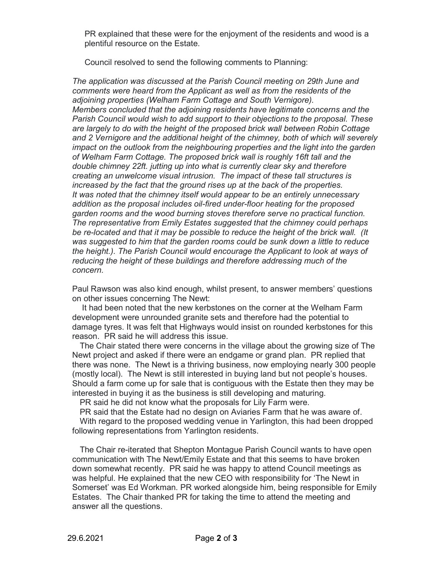PR explained that these were for the enjoyment of the residents and wood is a plentiful resource on the Estate.

Council resolved to send the following comments to Planning:

The application was discussed at the Parish Council meeting on 29th June and comments were heard from the Applicant as well as from the residents of the adjoining properties (Welham Farm Cottage and South Vernigore). Members concluded that the adjoining residents have legitimate concerns and the Parish Council would wish to add support to their objections to the proposal. These are largely to do with the height of the proposed brick wall between Robin Cottage and 2 Vernigore and the additional height of the chimney, both of which will severely impact on the outlook from the neighbouring properties and the light into the garden of Welham Farm Cottage. The proposed brick wall is roughly 16ft tall and the double chimney 22ft. jutting up into what is currently clear sky and therefore creating an unwelcome visual intrusion. The impact of these tall structures is increased by the fact that the ground rises up at the back of the properties. It was noted that the chimney itself would appear to be an entirely unnecessary addition as the proposal includes oil-fired under-floor heating for the proposed garden rooms and the wood burning stoves therefore serve no practical function. The representative from Emily Estates suggested that the chimney could perhaps be re-located and that it may be possible to reduce the height of the brick wall. (It was suggested to him that the garden rooms could be sunk down a little to reduce the height.). The Parish Council would encourage the Applicant to look at ways of reducing the height of these buildings and therefore addressing much of the concern.

Paul Rawson was also kind enough, whilst present, to answer members' questions on other issues concerning The Newt:

 It had been noted that the new kerbstones on the corner at the Welham Farm development were unrounded granite sets and therefore had the potential to damage tyres. It was felt that Highways would insist on rounded kerbstones for this reason. PR said he will address this issue.

The Chair stated there were concerns in the village about the growing size of The Newt project and asked if there were an endgame or grand plan. PR replied that there was none. The Newt is a thriving business, now employing nearly 300 people (mostly local). The Newt is still interested in buying land but not people's houses. Should a farm come up for sale that is contiguous with the Estate then they may be interested in buying it as the business is still developing and maturing.

PR said he did not know what the proposals for Lily Farm were.

PR said that the Estate had no design on Aviaries Farm that he was aware of. With regard to the proposed wedding venue in Yarlington, this had been dropped following representations from Yarlington residents.

The Chair re-iterated that Shepton Montague Parish Council wants to have open communication with The Newt/Emily Estate and that this seems to have broken down somewhat recently. PR said he was happy to attend Council meetings as was helpful. He explained that the new CEO with responsibility for 'The Newt in Somerset' was Ed Workman. PR worked alongside him, being responsible for Emily Estates. The Chair thanked PR for taking the time to attend the meeting and answer all the questions.